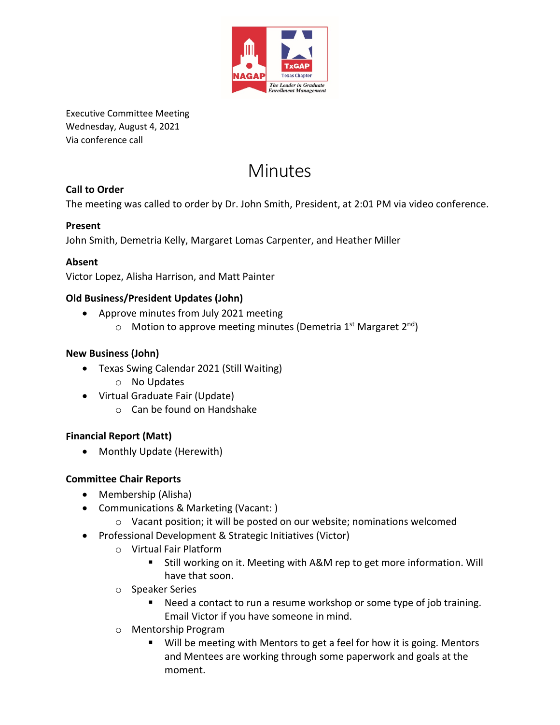

Executive Committee Meeting Wednesday, August 4, 2021 Via conference call

# Minutes

# **Call to Order**

The meeting was called to order by Dr. John Smith, President, at 2:01 PM via video conference.

### **Present**

John Smith, Demetria Kelly, Margaret Lomas Carpenter, and Heather Miller

#### **Absent**

Victor Lopez, Alisha Harrison, and Matt Painter

#### **Old Business/President Updates (John)**

- Approve minutes from July 2021 meeting
	- $\circ$  Motion to approve meeting minutes (Demetria 1<sup>st</sup> Margaret 2<sup>nd</sup>)

#### **New Business (John)**

- Texas Swing Calendar 2021 (Still Waiting)
	- o No Updates
- Virtual Graduate Fair (Update)
	- o Can be found on Handshake

#### **Financial Report (Matt)**

• Monthly Update (Herewith)

#### **Committee Chair Reports**

- Membership (Alisha)
- Communications & Marketing (Vacant: )
	- o Vacant position; it will be posted on our website; nominations welcomed
- Professional Development & Strategic Initiatives (Victor)
	- o Virtual Fair Platform
		- Still working on it. Meeting with A&M rep to get more information. Will have that soon.
	- o Speaker Series
		- Need a contact to run a resume workshop or some type of job training. Email Victor if you have someone in mind.
	- o Mentorship Program
		- Will be meeting with Mentors to get a feel for how it is going. Mentors and Mentees are working through some paperwork and goals at the moment.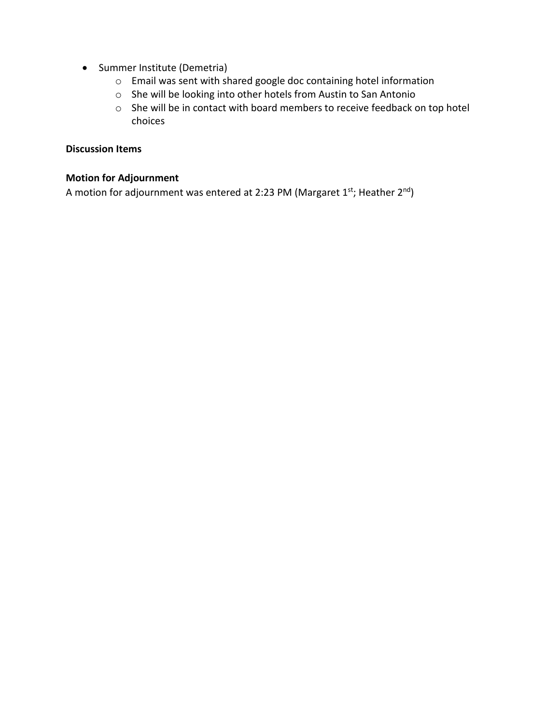- Summer Institute (Demetria)
	- o Email was sent with shared google doc containing hotel information
	- o She will be looking into other hotels from Austin to San Antonio
	- o She will be in contact with board members to receive feedback on top hotel choices

#### **Discussion Items**

#### **Motion for Adjournment**

A motion for adjournment was entered at 2:23 PM (Margaret  $1^{st}$ ; Heather  $2^{nd}$ )